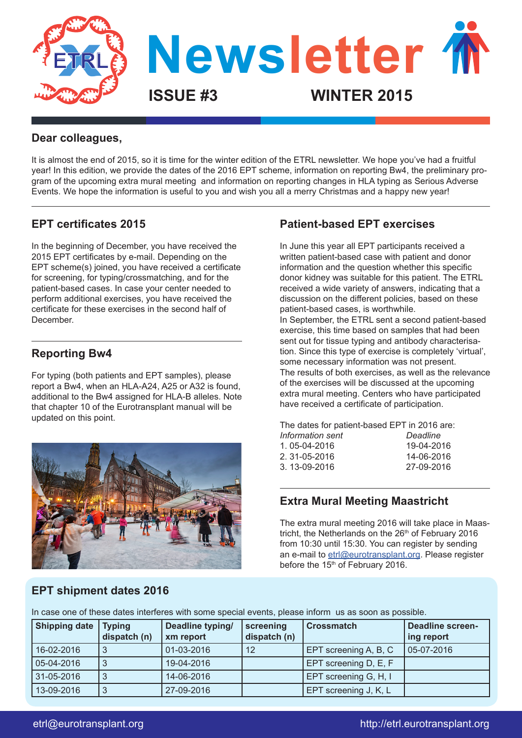

#### **Dear colleagues,**

It is almost the end of 2015, so it is time for the winter edition of the ETRL newsletter. We hope you've had a fruitful year! In this edition, we provide the dates of the 2016 EPT scheme, information on reporting Bw4, the preliminary program of the upcoming extra mural meeting and information on reporting changes in HLA typing as Serious Adverse Events. We hope the information is useful to you and wish you all a merry Christmas and a happy new year!

# **EPT certificates 2015**

In the beginning of December, you have received the 2015 EPT certificates by e-mail. Depending on the EPT scheme(s) joined, you have received a certificate for screening, for typing/crossmatching, and for the patient-based cases. In case your center needed to perform additional exercises, you have received the certificate for these exercises in the second half of December.

# **Reporting Bw4**

For typing (both patients and EPT samples), please report a Bw4, when an HLA-A24, A25 or A32 is found, additional to the Bw4 assigned for HLA-B alleles. Note that chapter 10 of the Eurotransplant manual will be updated on this point.



# **Patient-based EPT exercises**

In June this year all EPT participants received a written patient-based case with patient and donor information and the question whether this specific donor kidney was suitable for this patient. The ETRL received a wide variety of answers, indicating that a discussion on the different policies, based on these patient-based cases, is worthwhile.

In September, the ETRL sent a second patient-based exercise, this time based on samples that had been sent out for tissue typing and antibody characterisation. Since this type of exercise is completely 'virtual', some necessary information was not present. The results of both exercises, as well as the relevance of the exercises will be discussed at the upcoming extra mural meeting. Centers who have participated have received a certificate of participation.

The dates for patient-based EPT in 2016 are: *Information sent Deadline*

| 1.05-04-2016  | 19-04-2016 |
|---------------|------------|
| 2. 31-05-2016 | 14-06-2016 |
| 3. 13-09-2016 | 27-09-2016 |
|               |            |

#### **Extra Mural Meeting Maastricht**

The extra mural meeting 2016 will take place in Maastricht, the Netherlands on the  $26<sup>th</sup>$  of February 2016 from 10:30 until 15:30. You can register by sending an e-mail to etrl@eurotransplant.org. Please register before the 15<sup>th</sup> of February 2016.

## **EPT shipment dates 2016**

In case one of these dates interferes with some special events, please inform us as soon as possible.

| <b>Shipping date</b> | <b>Typing</b><br>dispatch (n) | Deadline typing/<br>xm report | screening<br>dispatch (n) | <b>Crossmatch</b>     | Deadline screen-<br>ing report |
|----------------------|-------------------------------|-------------------------------|---------------------------|-----------------------|--------------------------------|
| 16-02-2016           | 3                             | 01-03-2016                    | $12 \overline{ }$         | EPT screening A, B, C | $ 05-07-2016 $                 |
| 05-04-2016           | 3                             | 19-04-2016                    |                           | EPT screening D, E, F |                                |
| 31-05-2016           | 3                             | 14-06-2016                    |                           | EPT screening G, H, I |                                |
| 13-09-2016           | 3                             | 27-09-2016                    |                           | EPT screening J, K, L |                                |